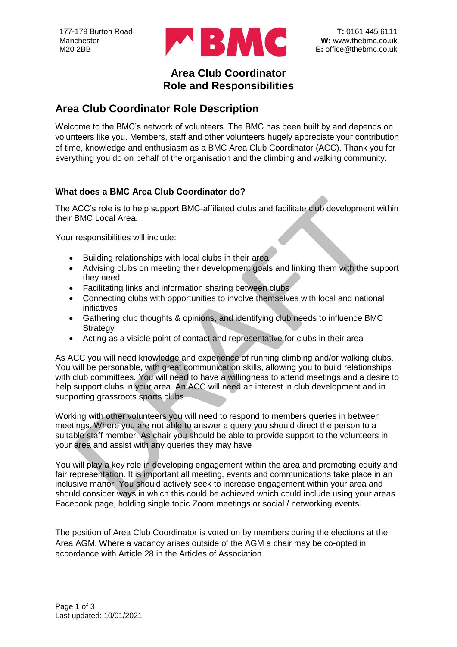

## **Area Club Coordinator Role and Responsibilities**

## **Area Club Coordinator Role Description**

Welcome to the BMC's network of volunteers. The BMC has been built by and depends on volunteers like you. Members, staff and other volunteers hugely appreciate your contribution of time, knowledge and enthusiasm as a BMC Area Club Coordinator (ACC). Thank you for everything you do on behalf of the organisation and the climbing and walking community.

### **What does a BMC Area Club Coordinator do?**

The ACC's role is to help support BMC-affiliated clubs and facilitate club development within their BMC Local Area.

Your responsibilities will include:

- Building relationships with local clubs in their area
- Advising clubs on meeting their development goals and linking them with the support they need
- Facilitating links and information sharing between clubs
- Connecting clubs with opportunities to involve themselves with local and national initiatives
- Gathering club thoughts & opinions, and identifying club needs to influence BMC **Strategy**
- Acting as a visible point of contact and representative for clubs in their area

As ACC you will need knowledge and experience of running climbing and/or walking clubs. You will be personable, with great communication skills, allowing you to build relationships with club committees. You will need to have a willingness to attend meetings and a desire to help support clubs in your area. An ACC will need an interest in club development and in supporting grassroots sports clubs.

Working with other volunteers you will need to respond to members queries in between meetings. Where you are not able to answer a query you should direct the person to a suitable staff member. As chair you should be able to provide support to the volunteers in your area and assist with any queries they may have

You will play a key role in developing engagement within the area and promoting equity and fair representation. It is important all meeting, events and communications take place in an inclusive manor. You should actively seek to increase engagement within your area and should consider ways in which this could be achieved which could include using your areas Facebook page, holding single topic Zoom meetings or social / networking events.

The position of Area Club Coordinator is voted on by members during the elections at the Area AGM. Where a vacancy arises outside of the AGM a chair may be co-opted in accordance with Article 28 in the Articles of Association.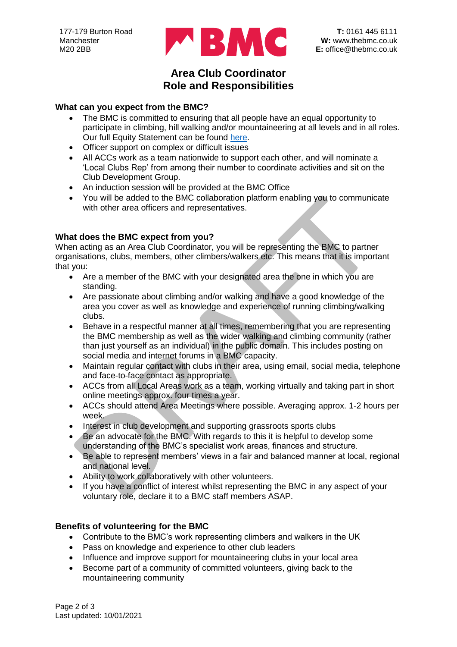

## **Area Club Coordinator Role and Responsibilities**

#### **What can you expect from the BMC?**

- The BMC is committed to ensuring that all people have an equal opportunity to participate in climbing, hill walking and/or mountaineering at all levels and in all roles. Our full Equity Statement can be found [here.](https://www.thebmc.co.uk/bmc-equity-statement#:~:text=The%20full%20BMC%20Equity%20Statement,climbing%2C%20hill%20walking%20and%20mountaineering.)
- Officer support on complex or difficult issues
- All ACCs work as a team nationwide to support each other, and will nominate a 'Local Clubs Rep' from among their number to coordinate activities and sit on the Club Development Group.
- An induction session will be provided at the BMC Office
- You will be added to the BMC collaboration platform enabling you to communicate with other area officers and representatives.

#### **What does the BMC expect from you?**

When acting as an Area Club Coordinator, you will be representing the BMC to partner organisations, clubs, members, other climbers/walkers etc. This means that it is important that you:

- Are a member of the BMC with your designated area the one in which you are standing.
- Are passionate about climbing and/or walking and have a good knowledge of the area you cover as well as knowledge and experience of running climbing/walking clubs.
- Behave in a respectful manner at all times, remembering that you are representing the BMC membership as well as the wider walking and climbing community (rather than just yourself as an individual) in the public domain. This includes posting on social media and internet forums in a BMC capacity.
- Maintain regular contact with clubs in their area, using email, social media, telephone and face-to-face contact as appropriate.
- ACCs from all Local Areas work as a team, working virtually and taking part in short online meetings approx. four times a year.
- ACCs should attend Area Meetings where possible. Averaging approx. 1-2 hours per week.
- Interest in club development and supporting grassroots sports clubs
- Be an advocate for the BMC. With regards to this it is helpful to develop some understanding of the BMC's specialist work areas, finances and structure.
- Be able to represent members' views in a fair and balanced manner at local, regional and national level.
- Ability to work collaboratively with other volunteers.
- If you have a conflict of interest whilst representing the BMC in any aspect of your voluntary role, declare it to a BMC staff members ASAP.

### **Benefits of volunteering for the BMC**

- Contribute to the BMC's work representing climbers and walkers in the UK
- Pass on knowledge and experience to other club leaders
- Influence and improve support for mountaineering clubs in your local area
- Become part of a community of committed volunteers, giving back to the mountaineering community